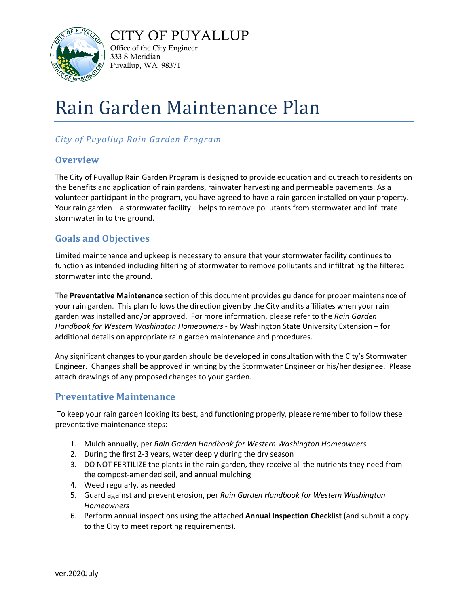



Office of the City Engineer 333 S Meridian Puyallup, WA 98371

# Rain Garden Maintenance Plan

### *City of Puyallup Rain Garden Program*

#### **Overview**

The City of Puyallup Rain Garden Program is designed to provide education and outreach to residents on the benefits and application of rain gardens, rainwater harvesting and permeable pavements. As a volunteer participant in the program, you have agreed to have a rain garden installed on your property. Your rain garden – a stormwater facility – helps to remove pollutants from stormwater and infiltrate stormwater in to the ground.

#### **Goals and Objectives**

Limited maintenance and upkeep is necessary to ensure that your stormwater facility continues to function as intended including filtering of stormwater to remove pollutants and infiltrating the filtered stormwater into the ground.

The **Preventative Maintenance** section of this document provides guidance for proper maintenance of your rain garden. This plan follows the direction given by the City and its affiliates when your rain garden was installed and/or approved. For more information, please refer to the *Rain Garden Handbook for Western Washington Homeowners* - by Washington State University Extension – for additional details on appropriate rain garden maintenance and procedures.

Any significant changes to your garden should be developed in consultation with the City's Stormwater Engineer. Changes shall be approved in writing by the Stormwater Engineer or his/her designee. Please attach drawings of any proposed changes to your garden.

#### **Preventative Maintenance**

To keep your rain garden looking its best, and functioning properly, please remember to follow these preventative maintenance steps:

- 1. Mulch annually, per *Rain Garden Handbook for Western Washington Homeowners*
- 2. During the first 2-3 years, water deeply during the dry season
- 3. DO NOT FERTILIZE the plants in the rain garden, they receive all the nutrients they need from the compost-amended soil, and annual mulching
- 4. Weed regularly, as needed
- 5. Guard against and prevent erosion, per *Rain Garden Handbook for Western Washington Homeowners*
- 6. Perform annual inspections using the attached **Annual Inspection Checklist** (and submit a copy to the City to meet reporting requirements).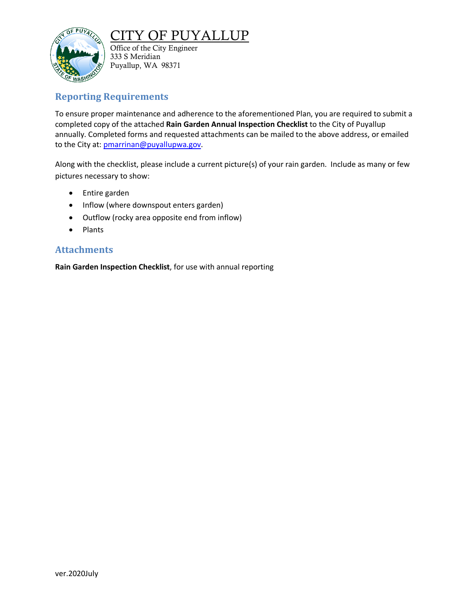

### TY OF PUYALLUP

Office of the City Engineer 333 S Meridian Puyallup, WA 98371

#### **Reporting Requirements**

To ensure proper maintenance and adherence to the aforementioned Plan, you are required to submit a completed copy of the attached **Rain Garden Annual Inspection Checklist** to the City of Puyallup annually. Completed forms and requested attachments can be mailed to the above address, or emailed to the City at: [pmarrinan@puyallupwa.gov.](mailto:pmarrinan@puyallupwa.gov)

Along with the checklist, please include a current picture(s) of your rain garden. Include as many or few pictures necessary to show:

- Entire garden
- Inflow (where downspout enters garden)
- Outflow (rocky area opposite end from inflow)
- Plants

#### **Attachments**

**Rain Garden Inspection Checklist**, for use with annual reporting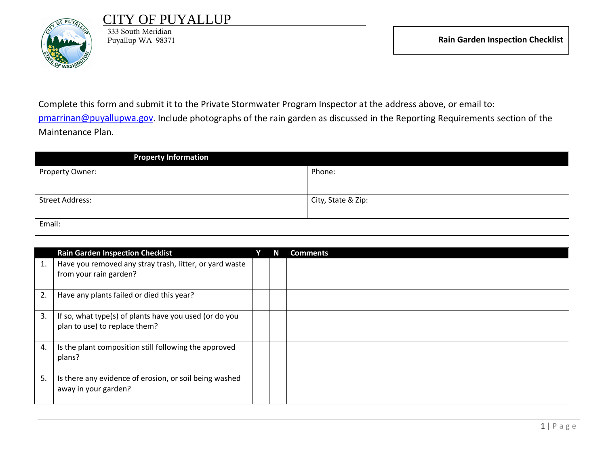

## OF PUYALLUP

333 South Meridian

Complete this form and submit it to the Private Stormwater Program Inspector at the address above, or email to: [pmarrinan@puyallupwa.gov.](mailto:pmarrinan@ci.puyallup.wa.us) Include photographs of the rain garden as discussed in the Reporting Requirements section of the Maintenance Plan.

| <b>Property Information</b> |                    |
|-----------------------------|--------------------|
| Property Owner:             | Phone:             |
|                             |                    |
| <b>Street Address:</b>      | City, State & Zip: |
|                             |                    |
| Email:                      |                    |

|    | <b>Rain Garden Inspection Checklist</b>                                                 |  | <b>Comments</b> |
|----|-----------------------------------------------------------------------------------------|--|-----------------|
| 1. | Have you removed any stray trash, litter, or yard waste<br>from your rain garden?       |  |                 |
| 2. | Have any plants failed or died this year?                                               |  |                 |
| 3. | If so, what type(s) of plants have you used (or do you<br>plan to use) to replace them? |  |                 |
| 4. | Is the plant composition still following the approved<br>plans?                         |  |                 |
| 5. | Is there any evidence of erosion, or soil being washed<br>away in your garden?          |  |                 |